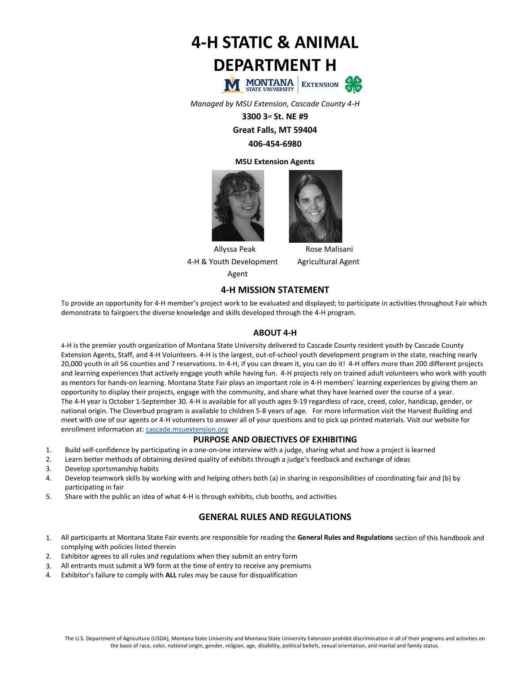# **4-H STATIC & ANIMAL DEPARTMENT H**<br>M MONTANA EXTENSION



*Managed by MSU Extension, Cascade County 4-H*

**3300 3rd St. NE #9 Great Falls, MT 59404 406-454-6980**

**MSU Extension Agents**



Allyssa Peak Rose Malisani 4-H & Youth Development Agricultural Agent **Agent Agent** 



### **4-H MISSION STATEMENT**

To provide an opportunity for 4-H member's project work to be evaluated and displayed; to participate in activities throughout Fair which demonstrate to fairgoers the diverse knowledge and skills developed through the 4-H program.

#### **ABOUT 4-H**

4-H is the premier youth organization of Montana State University delivered to Cascade County resident youth by Cascade County Extension Agents, Staff, and 4-H Volunteers. 4-H is the largest, out-of-school youth development program in the state, reaching nearly 20,000 youth in all 56 counties and 7 reservations. In 4-H, if you can dream it, you can do it! 4-H offers more than 200 different projects and learning experiences that actively engage youth while having fun. 4-H projects rely on trained adult volunteers who work with youth as mentors for hands-on learning. Montana State Fair plays an important role in 4-H members' learning experiences by giving them an opportunity to display their projects, engage with the community, and share what they have learned over the course of a year. The 4-H year is October 1-September 30. 4-H is available for all youth ages 9-19 regardless of race, creed, color, handicap, gender, or national origin. The Cloverbud program is available to children 5-8 years of age. For more information visit the Harvest Building and meet with one of our agents or 4-H volunteers to answer all of your questions and to pick up printed materials. Visit our website for enrollment information at: cascade.msuextension.org

#### **PURPOSE AND OBJECTIVES OF EXHIBITING**

- 1. Build self-confidence by participating in a one-on-one interview with a judge, sharing what and how a project is learned
- 2. Learn better methods of obtaining desired quality of exhibits through a judge's feedback and exchange of ideas
- 3. Develop sportsmanship habits
- 4. Develop teamwork skills by working with and helping others both (a) in sharing in responsibilities of coordinating fair and (b) by participating in fair
- 5. Share with the public an idea of what 4-H is through exhibits, club booths, and activities

#### **GENERAL RULES AND REGULATIONS**

- 1. All participants at Montana State Fair events are responsible for reading the **General Rules and Regulations** section of this handbook and complying with policies listed therein
- 2. Exhibitor agrees to all rules and regulations when they submit an entry form
- 3. All entrants must submit a W9 form at the time of entry to receive any premiums
- 4. Exhibitor's failure to comply with **ALL** rules may be cause for disqualification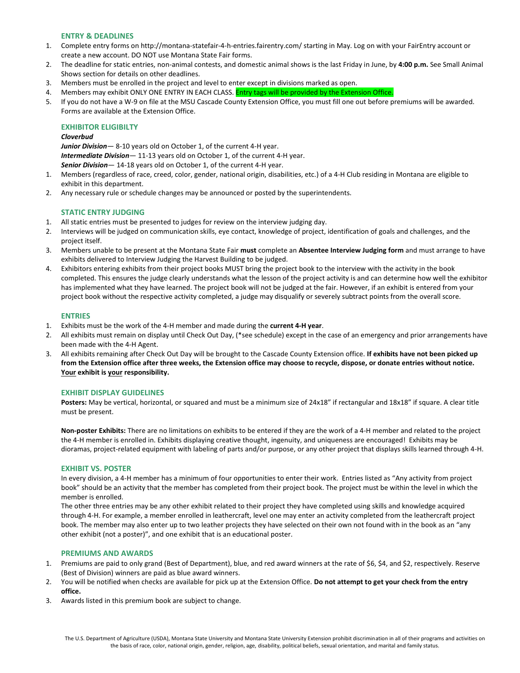#### **ENTRY & DEADLINES**

- 1. Complete entry forms on http://montana-statefair-4-h-entries.fairentry.com/ starting in May. Log on with your FairEntry account or create a new account. DO NOT use Montana State Fair forms.
- 2. The deadline for static entries, non-animal contests, and domestic animal shows is the last Friday in June, by **4:00 p.m.** See Small Animal Shows section for details on other deadlines.
- 3. Members must be enrolled in the project and level to enter except in divisions marked as open.
- 4. Members may exhibit ONLY ONE ENTRY IN EACH CLASS. Entry tags will be provided by the Extension Office.
- 5. If you do not have a W-9 on file at the MSU Cascade County Extension Office, you must fill one out before premiums will be awarded. Forms are available at the Extension Office.

#### **EXHIBITOR ELIGIBILTY**

#### *Cloverbud*

*Junior Division*— 8-10 years old on October 1, of the current 4-H year. *Intermediate Division*— 11-13 years old on October 1, of the current 4-H year. *Senior Division*— 14-18 years old on October 1, of the current 4-H year.

- 1. Members (regardless of race, creed, color, gender, national origin, disabilities, etc.) of a 4-H Club residing in Montana are eligible to exhibit in this department.
- 2. Any necessary rule or schedule changes may be announced or posted by the superintendents.

#### **STATIC ENTRY JUDGING**

- 1. All static entries must be presented to judges for review on the interview judging day.
- 2. Interviews will be judged on communication skills, eye contact, knowledge of project, identification of goals and challenges, and the project itself.
- 3. Members unable to be present at the Montana State Fair **must** complete an **Absentee Interview Judging form** and must arrange to have exhibits delivered to Interview Judging the Harvest Building to be judged.
- 4. Exhibitors entering exhibits from their project books MUST bring the project book to the interview with the activity in the book completed. This ensures the judge clearly understands what the lesson of the project activity is and can determine how well the exhibitor has implemented what they have learned. The project book will not be judged at the fair. However, if an exhibit is entered from your project book without the respective activity completed, a judge may disqualify or severely subtract points from the overall score.

#### **ENTRIES**

- 1. Exhibits must be the work of the 4-H member and made during the **current 4-H year**.
- 2. All exhibits must remain on display until Check Out Day, (\*see schedule) except in the case of an emergency and prior arrangements have been made with the 4-H Agent.
- 3. All exhibits remaining after Check Out Day will be brought to the Cascade County Extension office. **If exhibits have not been picked up from the Extension office after three weeks, the Extension office may choose to recycle, dispose, or donate entries without notice. Your exhibit is your responsibility.**

#### **EXHIBIT DISPLAY GUIDELINES**

**Posters:** May be vertical, horizontal, or squared and must be a minimum size of 24x18" if rectangular and 18x18" if square. A clear title must be present.

**Non-poster Exhibits:** There are no limitations on exhibits to be entered if they are the work of a 4-H member and related to the project the 4-H member is enrolled in. Exhibits displaying creative thought, ingenuity, and uniqueness are encouraged! Exhibits may be dioramas, project-related equipment with labeling of parts and/or purpose, or any other project that displays skills learned through 4-H.

#### **EXHIBIT VS. POSTER**

In every division, a 4-H member has a minimum of four opportunities to enter their work. Entries listed as "Any activity from project book" should be an activity that the member has completed from their project book. The project must be within the level in which the member is enrolled.

The other three entries may be any other exhibit related to their project they have completed using skills and knowledge acquired through 4-H. For example, a member enrolled in leathercraft, level one may enter an activity completed from the leathercraft project book. The member may also enter up to two leather projects they have selected on their own not found with in the book as an "any other exhibit (not a poster)", and one exhibit that is an educational poster.

#### **PREMIUMS AND AWARDS**

- 1. Premiums are paid to only grand (Best of Department), blue, and red award winners at the rate of \$6, \$4, and \$2, respectively. Reserve (Best of Division) winners are paid as blue award winners.
- 2. You will be notified when checks are available for pick up at the Extension Office. **Do not attempt to get your check from the entry office.**
- 3. Awards listed in this premium book are subject to change.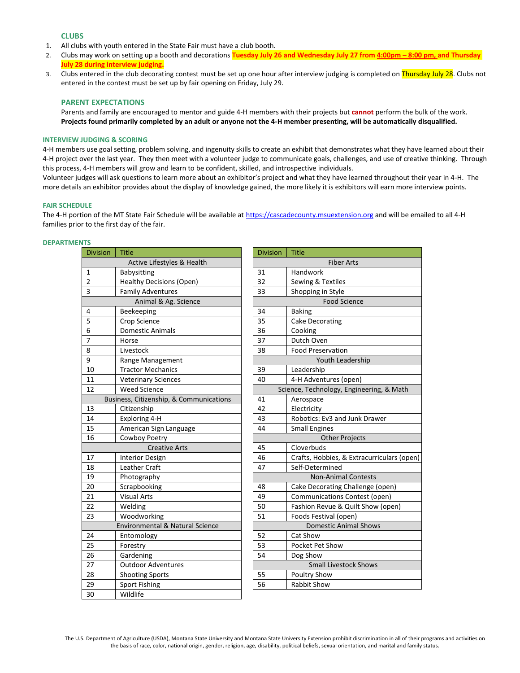#### **CLUBS**

- 1. All clubs with youth entered in the State Fair must have a club booth.
- 2. Clubs may work on setting up a booth and decorations **Tuesday July 26 and Wednesday July 27 from 4:00pm – 8:00 pm, and Thursday July 28 during interview judging.**
- 3. Clubs entered in the club decorating contest must be set up one hour after interview judging is completed on Thursday July 28. Clubs not entered in the contest must be set up by fair opening on Friday, July 29.

#### **PARENT EXPECTATIONS**

Parents and family are encouraged to mentor and guide 4-H members with their projects but **cannot** perform the bulk of the work. **Projects found primarily completed by an adult or anyone not the 4-H member presenting, will be automatically disqualified.**

#### **INTERVIEW JUDGING & SCORING**

4-H members use goal setting, problem solving, and ingenuity skills to create an exhibit that demonstrates what they have learned about their 4-H project over the last year. They then meet with a volunteer judge to communicate goals, challenges, and use of creative thinking. Through this process, 4-H members will grow and learn to be confident, skilled, and introspective individuals.

Volunteer judges will ask questions to learn more about an exhibitor's project and what they have learned throughout their year in 4-H. The more details an exhibitor provides about the display of knowledge gained, the more likely it is exhibitors will earn more interview points.

#### **FAIR SCHEDULE**

The 4-H portion of the MT State Fair Schedule will be available a[t https://cascadecounty.msuextension.org](https://cascadecounty.msuextension.org/) and will be emailed to all 4-H families prior to the first day of the fair.

#### **DEPARTMENTS**

| <b>Division</b>      | <b>Title</b>                               | <b>Division</b>                        | <b>Title</b>                          |  |
|----------------------|--------------------------------------------|----------------------------------------|---------------------------------------|--|
|                      | Active Lifestyles & Health                 |                                        | <b>Fiber Arts</b>                     |  |
| $\mathbf{1}$         | Babysitting                                | 31                                     | Handwork                              |  |
| $\overline{2}$       | <b>Healthy Decisions (Open)</b>            | 32                                     | Sewing & Textiles                     |  |
| 3                    | <b>Family Adventures</b>                   | 33                                     | Shopping in Style                     |  |
| Animal & Ag. Science |                                            |                                        | <b>Food Science</b>                   |  |
| $\overline{4}$       | 34<br>Beekeeping                           |                                        | <b>Baking</b>                         |  |
| 5                    | Crop Science                               | 35                                     | <b>Cake Decorating</b>                |  |
| 6                    | <b>Domestic Animals</b>                    | 36                                     | Cooking                               |  |
| $\overline{7}$       | Horse                                      | 37                                     | Dutch Oven                            |  |
| 8                    | Livestock                                  | 38                                     | <b>Food Preservation</b>              |  |
| 9                    | Range Management                           |                                        | Youth Leadership                      |  |
| 10                   | <b>Tractor Mechanics</b>                   | 39                                     | Leadership                            |  |
| 11                   | <b>Veterinary Sciences</b>                 | 40                                     | 4-H Adventures (open)                 |  |
| 12                   | <b>Weed Science</b>                        | Science, Technology, Engineering, & Ma |                                       |  |
|                      | Business, Citizenship, & Communications    | 41                                     | Aerospace                             |  |
| 13                   | Citizenship                                | 42                                     | Electricity                           |  |
| 14                   | Exploring 4-H                              | 43                                     | Robotics: Ev3 and Junk Drawer         |  |
| 15                   | American Sign Language                     | 44                                     | <b>Small Engines</b>                  |  |
| 16                   | Cowboy Poetry                              |                                        | <b>Other Projects</b>                 |  |
|                      | <b>Creative Arts</b>                       | 45                                     | Cloverbuds                            |  |
| 17                   | <b>Interior Design</b>                     | 46                                     | Crafts, Hobbies, & Extracurriculars ( |  |
| 18                   | Leather Craft                              | 47                                     | Self-Determined                       |  |
| 19                   | Photography                                |                                        | <b>Non-Animal Contests</b>            |  |
| 20                   | Scrapbooking                               | 48                                     | Cake Decorating Challenge (open)      |  |
| 21                   | <b>Visual Arts</b>                         | 49                                     | Communications Contest (open)         |  |
| 22                   | Welding                                    | 50                                     | Fashion Revue & Quilt Show (open)     |  |
| 23                   | Woodworking                                | 51                                     | Foods Festival (open)                 |  |
|                      | <b>Environmental &amp; Natural Science</b> |                                        | <b>Domestic Animal Shows</b>          |  |
| 24                   | Entomology                                 | 52                                     | Cat Show                              |  |
| 25                   | Forestry                                   | 53                                     | Pocket Pet Show                       |  |
| 26                   | Gardening                                  | 54<br>Dog Show                         |                                       |  |
| 27                   | <b>Outdoor Adventures</b>                  | <b>Small Livestock Shows</b>           |                                       |  |
| 28                   | <b>Shooting Sports</b>                     | 55                                     | Poultry Show                          |  |
| 29                   | <b>Sport Fishing</b>                       | 56                                     | <b>Rabbit Show</b>                    |  |
| 30                   | Wildlife                                   |                                        |                                       |  |

| <b>Division</b>                         | <b>Title</b>                    | <b>Division</b>                          | <b>Title</b>                               |  |
|-----------------------------------------|---------------------------------|------------------------------------------|--------------------------------------------|--|
| Active Lifestyles & Health              |                                 | <b>Fiber Arts</b>                        |                                            |  |
| 1                                       | Babysitting                     | 31                                       | Handwork                                   |  |
| $\overline{\mathbf{c}}$                 | <b>Healthy Decisions (Open)</b> | 32                                       | Sewing & Textiles                          |  |
| $\overline{3}$                          | <b>Family Adventures</b>        | 33                                       | Shopping in Style                          |  |
| Animal & Ag. Science                    |                                 |                                          | <b>Food Science</b>                        |  |
|                                         | Beekeeping                      | 34                                       | <b>Baking</b>                              |  |
|                                         | Crop Science                    | 35                                       | <b>Cake Decorating</b>                     |  |
| $\frac{4}{5}$ $\frac{5}{7}$             | <b>Domestic Animals</b>         | 36                                       | Cooking                                    |  |
|                                         | Horse                           | 37                                       | Dutch Oven                                 |  |
| 8                                       | Livestock                       | 38                                       | <b>Food Preservation</b>                   |  |
| 9                                       | Range Management                | Youth Leadership                         |                                            |  |
| 10                                      | <b>Tractor Mechanics</b>        | 39                                       | Leadership                                 |  |
| 11                                      | <b>Veterinary Sciences</b>      | 40                                       | 4-H Adventures (open)                      |  |
| 12                                      | <b>Weed Science</b>             | Science, Technology, Engineering, & Math |                                            |  |
| Business, Citizenship, & Communications |                                 | 41                                       | Aerospace                                  |  |
| 13                                      | Citizenship                     | 42                                       | Electricity                                |  |
| 14                                      | Exploring 4-H                   | 43                                       | Robotics: Ev3 and Junk Drawer              |  |
| 15                                      | American Sign Language          | 44                                       | <b>Small Engines</b>                       |  |
| 16                                      | Cowboy Poetry                   |                                          | <b>Other Projects</b>                      |  |
|                                         | <b>Creative Arts</b>            | 45                                       | Cloverbuds                                 |  |
| 17                                      | <b>Interior Design</b>          | 46                                       | Crafts, Hobbies, & Extracurriculars (open) |  |
| 18                                      | <b>Leather Craft</b>            | 47                                       | Self-Determined                            |  |
| <u>19</u>                               | Photography                     |                                          | <b>Non-Animal Contests</b>                 |  |
| 20                                      | Scrapbooking                    | 48                                       | Cake Decorating Challenge (open)           |  |
| 21                                      | <b>Visual Arts</b>              | 49                                       | Communications Contest (open)              |  |
| 22                                      | Welding                         | 50                                       | Fashion Revue & Quilt Show (open)          |  |
| $\frac{23}{2}$                          | Woodworking                     | 51                                       | Foods Festival (open)                      |  |
|                                         | Environmental & Natural Science |                                          | <b>Domestic Animal Shows</b>               |  |
| 24                                      | Entomology                      | 52                                       | Cat Show                                   |  |
| $\overline{25}$                         | Forestry                        | 53                                       | Pocket Pet Show                            |  |
| $\overline{26}$                         | Gardening                       | 54                                       | Dog Show                                   |  |
| 27                                      | <b>Outdoor Adventures</b>       |                                          | <b>Small Livestock Shows</b>               |  |
| 28                                      | <b>Shooting Sports</b>          | 55                                       | Poultry Show                               |  |
| 29                                      | <b>Sport Fishing</b>            | 56                                       | Rabbit Show                                |  |
|                                         |                                 |                                          |                                            |  |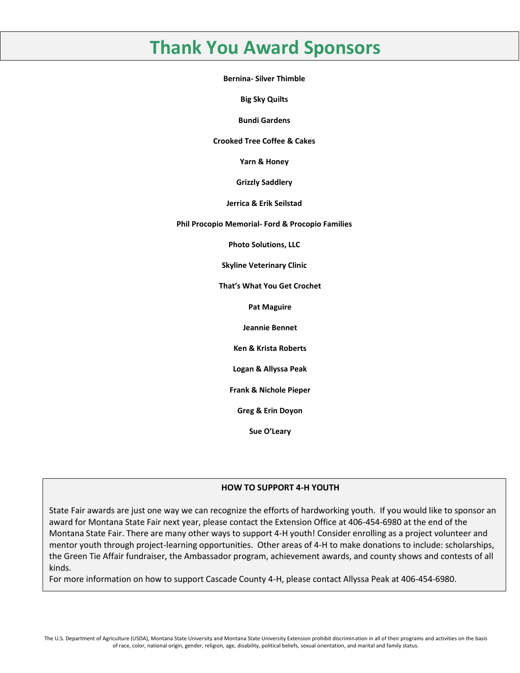## **Thank You Award Sponsors**

**Bernina- Silver Thimble**

**Big Sky Quilts**

**Bundi Gardens**

**Crooked Tree Coffee & Cakes**

**Yarn & Honey**

**Grizzly Saddlery**

**Jerrica & Erik Seilstad**

**Phil Procopio Memorial- Ford & Procopio Families**

**Photo Solutions, LLC**

**Skyline Veterinary Clinic**

**That's What You Get Crochet**

**Pat Maguire**

**Jeannie Bennet**

**Ken & Krista Roberts**

**Logan & Allyssa Peak**

**Frank & Nichole Pieper**

**Greg & Erin Doyon**

**Sue O'Leary**

#### **HOW TO SUPPORT 4-H YOUTH**

State Fair awards are just one way we can recognize the efforts of hardworking youth. If you would like to sponsor an award for Montana State Fair next year, please contact the Extension Office at 406-454-6980 at the end of the Montana State Fair. There are many other ways to support 4-H youth! Consider enrolling as a project volunteer and mentor youth through project-learning opportunities. Other areas of 4-H to make donations to include: scholarships, the Green Tie Affair fundraiser, the Ambassador program, achievement awards, and county shows and contests of all kinds.

For more information on how to support Cascade County 4-H, please contact Allyssa Peak at 406-454-6980.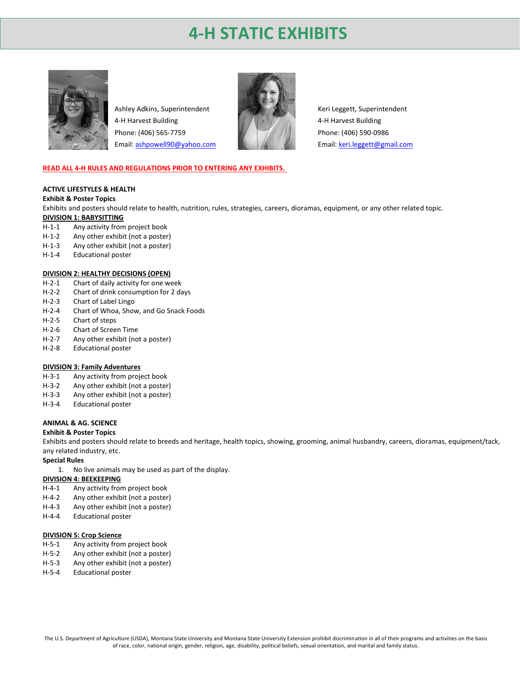## **4-H STATIC EXHIBITS**



Ashley Adkins, Superintendent Keri Leggett, Superintendent 4-H Harvest Building **1990 Community** 1990 A 4-H Harvest Building Phone: (406) 565-7759 Phone: (406) 590-0986 Email[: ashpowell90@yahoo.com](mailto:ashpowell90@yahoo.com) Email: [keri.leggett@gmail.com](mailto:keri.leggett@gmail.com)



#### **READ ALL 4-H RULES AND REGULATIONS PRIOR TO ENTERING ANY EXHIBITS.**

#### **ACTIVE LIFESTYLES & HEALTH**

#### **Exhibit & Poster Topics**

Exhibits and posters should relate to health, nutrition, rules, strategies, careers, dioramas, equipment, or any other related topic. **DIVISION 1: BABYSITTING**

- H-1-1 Any activity from project book
- H-1-2 Any other exhibit (not a poster)
- H-1-3 Any other exhibit (not a poster)
- H-1-4 Educational poster

#### **DIVISION 2: HEALTHY DECISIONS (OPEN)**

- H-2-1 Chart of daily activity for one week
- H-2-2 Chart of drink consumption for 2 days
- H-2-3 Chart of Label Lingo
- H-2-4 Chart of Whoa, Show, and Go Snack Foods
- H-2-5 Chart of steps
- H-2-6 Chart of Screen Time
- H-2-7 Any other exhibit (not a poster)
- H-2-8 Educational poster

#### **DIVISION 3: Family Adventures**

- H-3-1 Any activity from project book
- H-3-2 Any other exhibit (not a poster)
- H-3-3 Any other exhibit (not a poster)
- H-3-4 Educational poster

#### **ANIMAL & AG. SCIENCE**

#### **Exhibit & Poster Topics**

Exhibits and posters should relate to breeds and heritage, health topics, showing, grooming, animal husbandry, careers, dioramas, equipment/tack, any related industry, etc.

#### **Special Rules**

1. No live animals may be used as part of the display.

#### **DIVISION 4: BEEKEEPING**

- H-4-1 Any activity from project book
- H-4-2 Any other exhibit (not a poster)
- H-4-3 Any other exhibit (not a poster)
- H-4-4 Educational poster

#### **DIVISION 5: Crop Science**

- H-5-1 Any activity from project book
- H-5-2 Any other exhibit (not a poster)
- H-5-3 Any other exhibit (not a poster)
- H-5-4 Educational poster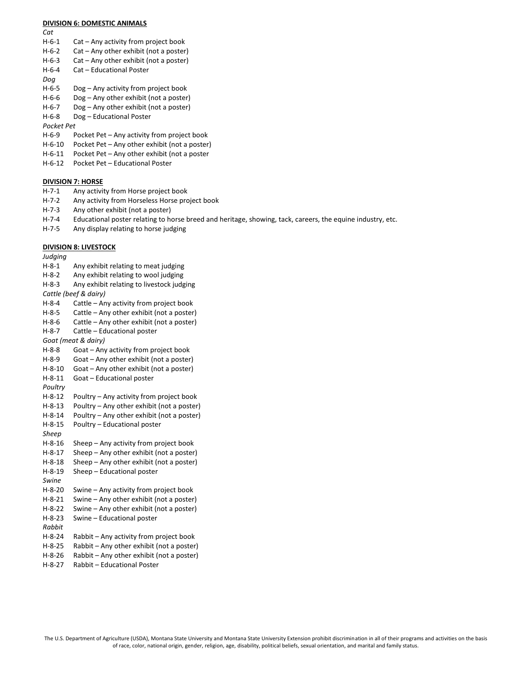#### **DIVISION 6: DOMESTIC ANIMALS**

- *Cat*
- H-6-1 Cat Any activity from project book
- H-6-2 Cat Any other exhibit (not a poster)
- H-6-3 Cat Any other exhibit (not a poster)
- H-6-4 Cat Educational Poster
- 
- *Dog*
- $H-6-5$  Dog Any activity from project book<br> $H-6-6$  Dog Any other exhibit (not a poster Dog – Any other exhibit (not a poster)
- H-6-7 Dog Any other exhibit (not a poster)
- H-6-8 Dog Educational Poster

### *Pocket Pet*

- H-6-9 Pocket Pet Any activity from project book<br>H-6-10 Pocket Pet Any other exhibit (not a poster
- Pocket Pet Any other exhibit (not a poster)
- H-6-11 Pocket Pet Any other exhibit (not a poster
- H-6-12 Pocket Pet Educational Poster

#### **DIVISION 7: HORSE**

- H-7-1 Any activity from Horse project book<br>H-7-2 Any activity from Horseless Horse pro
- H-7-2 Any activity from Horseless Horse project book<br>H-7-3 Any other exhibit (not a poster)
- Any other exhibit (not a poster)
- H-7-4 Educational poster relating to horse breed and heritage, showing, tack, careers, the equine industry, etc.<br>H-7-5 Any display relating to horse judging
- Any display relating to horse judging

#### *Judging*

| כ- / ־ח      | Ally display relating to horse judging     |
|--------------|--------------------------------------------|
|              | <b>DIVISION 8: LIVESTOCK</b>               |
| Judging      |                                            |
| $H - 8 - 1$  | Any exhibit relating to meat judging       |
| $H - 8 - 2$  | Any exhibit relating to wool judging       |
| $H - 8 - 3$  | Any exhibit relating to livestock judging  |
|              | Cattle (beef & dairy)                      |
| $H - 8 - 4$  | Cattle - Any activity from project book    |
| $H - 8 - 5$  | Cattle - Any other exhibit (not a poster)  |
| $H - 8 - 6$  | Cattle - Any other exhibit (not a poster)  |
| $H - 8 - 7$  | Cattle - Educational poster                |
|              | Goat (meat & dairy)                        |
| $H - 8 - 8$  | Goat - Any activity from project book      |
| H-8-9        | Goat - Any other exhibit (not a poster)    |
| $H-8-10$     | Goat - Any other exhibit (not a poster)    |
| $H - 8 - 11$ | Goat - Educational poster                  |
| Poultry      |                                            |
| $H - 8 - 12$ | Poultry – Any activity from project book   |
| $H - 8 - 13$ | Poultry - Any other exhibit (not a poster) |
| $H-8-14$     | Poultry – Any other exhibit (not a poster) |
| $H - 8 - 15$ | Poultry - Educational poster               |
| Sheep        |                                            |
| $H - 8 - 16$ | Sheep - Any activity from project book     |
| $H-8-17$     | Sheep - Any other exhibit (not a poster)   |
| H-8-18       | Sheep - Any other exhibit (not a poster)   |
| $H - 8 - 19$ | Sheep - Educational poster                 |
| Swine        |                                            |
| $H - 8 - 20$ | Swine - Any activity from project book     |
| $H - 8 - 21$ | Swine - Any other exhibit (not a poster)   |
| H-8-22       | Swine - Any other exhibit (not a poster)   |
| $H - 8 - 23$ | Swine - Educational poster                 |
| Rabbit       |                                            |
| H-8-24       | Rabbit - Any activity from project book    |
| $H - 8 - 25$ | Rabbit - Any other exhibit (not a poster)  |
| $H - 8 - 26$ | Rabbit - Any other exhibit (not a poster)  |
| H-8-27       | Rabbit - Educational Poster                |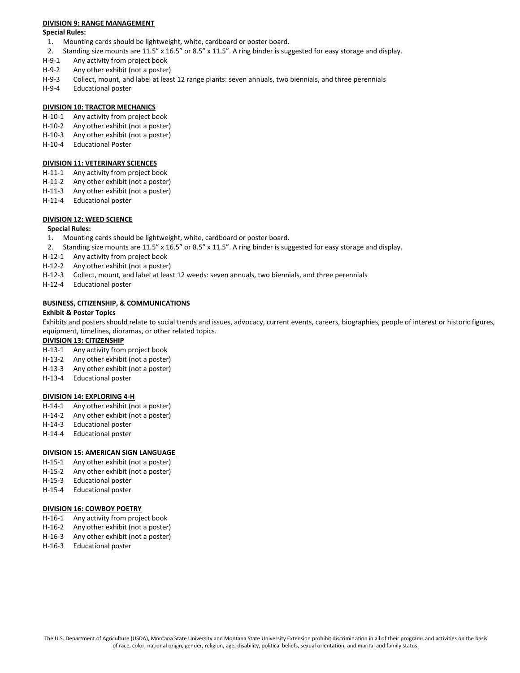#### **DIVISION 9: RANGE MANAGEMENT**

#### **Special Rules:**

- 1. Mounting cards should be lightweight, white, cardboard or poster board.
- 2. Standing size mounts are 11.5" x 16.5" or 8.5" x 11.5". A ring binder is suggested for easy storage and display.
- H-9-1 Any activity from project book
- H-9-2 Any other exhibit (not a poster)
- H-9-3 Collect, mount, and label at least 12 range plants: seven annuals, two biennials, and three perennials
- H-9-4 Educational poster

#### **DIVISION 10: TRACTOR MECHANICS**

- H-10-1 Any activity from project book
- H-10-2 Any other exhibit (not a poster)
- H-10-3 Any other exhibit (not a poster)
- H-10-4 Educational Poster

#### **DIVISION 11: VETERINARY SCIENCES**

- H-11-1 Any activity from project book
- H-11-2 Any other exhibit (not a poster)
- H-11-3 Any other exhibit (not a poster)
- H-11-4 Educational poster

#### **DIVISION 12: WEED SCIENCE**

#### **Special Rules:**

- 1. Mounting cards should be lightweight, white, cardboard or poster board.
- 2. Standing size mounts are 11.5" x 16.5" or 8.5" x 11.5". A ring binder is suggested for easy storage and display.
- H-12-1 Any activity from project book
- H-12-2 Any other exhibit (not a poster)
- H-12-3 Collect, mount, and label at least 12 weeds: seven annuals, two biennials, and three perennials
- H-12-4 Educational poster

#### **BUSINESS, CITIZENSHIP, & COMMUNICATIONS**

#### **Exhibit & Poster Topics**

Exhibits and posters should relate to social trends and issues, advocacy, current events, careers, biographies, people of interest or historic figures, equipment, timelines, dioramas, or other related topics.

#### **DIVISION 13: CITIZENSHIP**

- H-13-1 Any activity from project book
- H-13-2 Any other exhibit (not a poster)
- H-13-3 Any other exhibit (not a poster)
- H-13-4 Educational poster

#### **DIVISION 14: EXPLORING 4-H**

- H-14-1 Any other exhibit (not a poster)
- H-14-2 Any other exhibit (not a poster)
- H-14-3 Educational poster
- H-14-4 Educational poster

#### **DIVISION 15: AMERICAN SIGN LANGUAGE**

- H-15-1 Any other exhibit (not a poster)
- H-15-2 Any other exhibit (not a poster)
- H-15-3 Educational poster
- H-15-4 Educational poster

#### **DIVISION 16: COWBOY POETRY**

- H-16-1 Any activity from project book
- H-16-2 Any other exhibit (not a poster)
- H-16-3 Any other exhibit (not a poster)
- H-16-3 Educational poster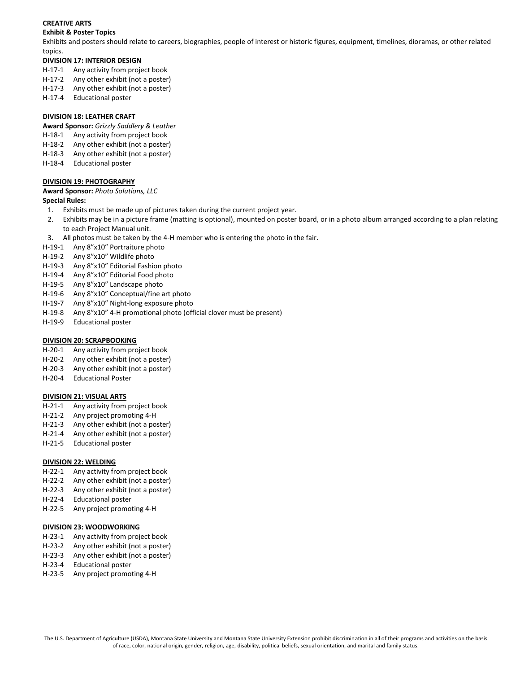#### **CREATIVE ARTS**

#### **Exhibit & Poster Topics**

Exhibits and posters should relate to careers, biographies, people of interest or historic figures, equipment, timelines, dioramas, or other related topics.

#### **DIVISION 17: INTERIOR DESIGN**

- H-17-1 Any activity from project book
- H-17-2 Any other exhibit (not a poster)
- H-17-3 Any other exhibit (not a poster)<br>H-17-4 Educational poster
- Educational poster

#### **DIVISION 18: LEATHER CRAFT**

**Award Sponsor:** *Grizzly Saddlery & Leather*

- H-18-1 Any activity from project book
- H-18-2 Any other exhibit (not a poster)
- H-18-3 Any other exhibit (not a poster)
- H-18-4 Educational poster

#### **DIVISION 19: PHOTOGRAPHY**

**Award Sponsor:** *Photo Solutions, LLC*

#### **Special Rules:**

- 1. Exhibits must be made up of pictures taken during the current project year.
- 2. Exhibits may be in a picture frame (matting is optional), mounted on poster board, or in a photo album arranged according to a plan relating to each Project Manual unit.
- 3. All photos must be taken by the 4-H member who is entering the photo in the fair.
- H-19-1 Any 8"x10" Portraiture photo
- H-19-2 Any 8"x10" Wildlife photo
- H-19-3 Any 8"x10" Editorial Fashion photo
- H-19-4 Any 8"x10" Editorial Food photo
- H-19-5 Any 8"x10" Landscape photo
- H-19-6 Any 8"x10" Conceptual/fine art photo
- H-19-7 Any 8"x10" Night-long exposure photo
- H-19-8 Any 8"x10" 4-H promotional photo (official clover must be present)
- H-19-9 Educational poster

#### **DIVISION 20: SCRAPBOOKING**

- H-20-1 Any activity from project book
- H-20-2 Any other exhibit (not a poster)
- H-20-3 Any other exhibit (not a poster)
- H-20-4 Educational Poster

#### **DIVISION 21: VISUAL ARTS**

- H-21-1 Any activity from project book
- H-21-2 Any project promoting 4-H
- H-21-3 Any other exhibit (not a poster)
- H-21-4 Any other exhibit (not a poster)
- H-21-5 Educational poster

#### **DIVISION 22: WELDING**

- H-22-1 Any activity from project book
- H-22-2 Any other exhibit (not a poster)
- H-22-3 Any other exhibit (not a poster)
- H-22-4 Educational poster
- H-22-5 Any project promoting 4-H

#### **DIVISION 23: WOODWORKING**

- H-23-1 Any activity from project book
- H-23-2 Any other exhibit (not a poster)
- H-23-3 Any other exhibit (not a poster)
- H-23-4 Educational poster
- H-23-5 Any project promoting 4-H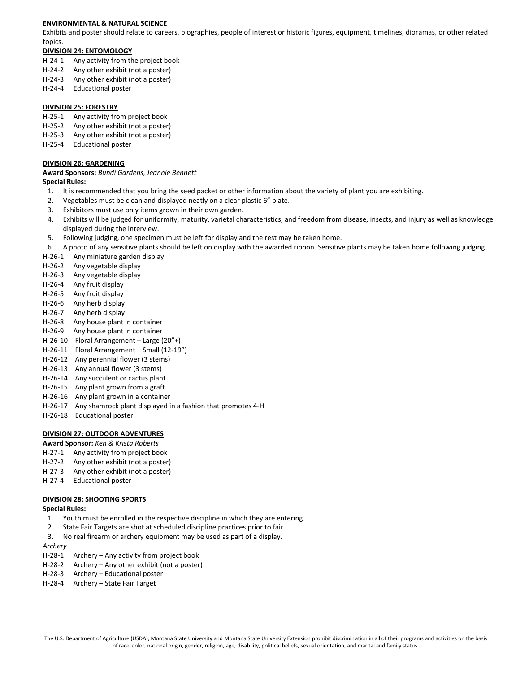#### **ENVIRONMENTAL & NATURAL SCIENCE**

Exhibits and poster should relate to careers, biographies, people of interest or historic figures, equipment, timelines, dioramas, or other related topics.

#### **DIVISION 24: ENTOMOLOGY**

- H-24-1 Any activity from the project book
- H-24-2 Any other exhibit (not a poster)
- H-24-3 Any other exhibit (not a poster)
- H-24-4 Educational poster

#### **DIVISION 25: FORESTRY**

- H-25-1 Any activity from project book
- H-25-2 Any other exhibit (not a poster)
- H-25-3 Any other exhibit (not a poster)
- H-25-4 Educational poster

#### **DIVISION 26: GARDENING**

#### **Award Sponsors:** *Bundi Gardens, Jeannie Bennett*

**Special Rules:**

- 1. It is recommended that you bring the seed packet or other information about the variety of plant you are exhibiting.
- 2. Vegetables must be clean and displayed neatly on a clear plastic 6" plate.
- 3. Exhibitors must use only items grown in their own garden.
- 4. Exhibits will be judged for uniformity, maturity, varietal characteristics, and freedom from disease, insects, and injury as well as knowledge displayed during the interview.
- 5. Following judging, one specimen must be left for display and the rest may be taken home.
- 6. A photo of any sensitive plants should be left on display with the awarded ribbon. Sensitive plants may be taken home following judging.
- H-26-1 Any miniature garden display
- H-26-2 Any vegetable display
- H-26-3 Any vegetable display
- H-26-4 Any fruit display
- H-26-5 Any fruit display
- H-26-6 Any herb display
- H-26-7 Any herb display
- H-26-8 Any house plant in container
- H-26-9 Any house plant in container
- H-26-10 Floral Arrangement Large (20"+)
- H-26-11 Floral Arrangement Small (12-19")
- H-26-12 Any perennial flower (3 stems)
- H-26-13 Any annual flower (3 stems)
- H-26-14 Any succulent or cactus plant
- H-26-15 Any plant grown from a graft
- H-26-16 Any plant grown in a container
- H-26-17 Any shamrock plant displayed in a fashion that promotes 4-H
- H-26-18 Educational poster

#### **DIVISION 27: OUTDOOR ADVENTURES**

- **Award Sponsor:** *Ken & Krista Roberts*
- H-27-1 Any activity from project book
- H-27-2 Any other exhibit (not a poster)
- H-27-3 Any other exhibit (not a poster)
- H-27-4 Educational poster

#### **DIVISION 28: SHOOTING SPORTS**

#### **Special Rules:**

- 1. Youth must be enrolled in the respective discipline in which they are entering.
- 2. State Fair Targets are shot at scheduled discipline practices prior to fair.
- 3. No real firearm or archery equipment may be used as part of a display.

#### *Archery*

- H-28-1 Archery Any activity from project book
- H-28-2 Archery Any other exhibit (not a poster)
- H-28-3 Archery Educational poster
- H-28-4 Archery State Fair Target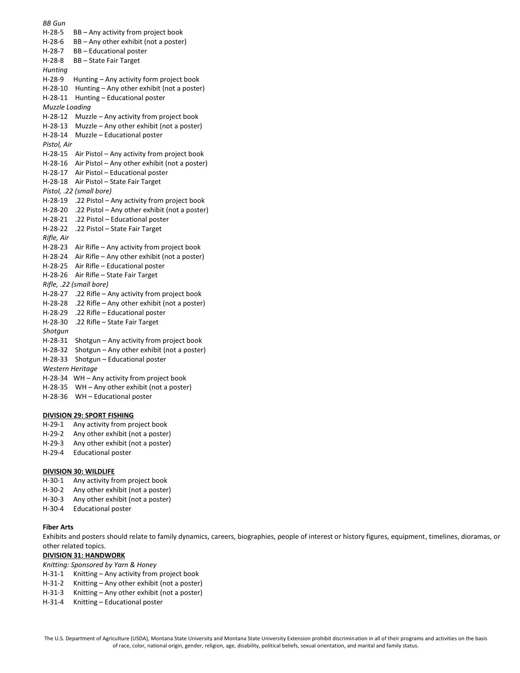*BB Gun* H-28-5 BB – Any activity from project book H-28-6 BB – Any other exhibit (not a poster) H-28-7 BB – Educational poster H-28-8 BB – State Fair Target *Hunting* H-28-9 Hunting – Any activity form project book H-28-10 Hunting – Any other exhibit (not a poster) H-28-11 Hunting – Educational poster *Muzzle Loading* H-28-12 Muzzle – Any activity from project book H-28-13 Muzzle – Any other exhibit (not a poster) H-28-14 Muzzle – Educational poster *Pistol, Air* H-28-15 Air Pistol – Any activity from project book H-28-16 Air Pistol – Any other exhibit (not a poster) H-28-17 Air Pistol – Educational poster H-28-18 Air Pistol – State Fair Target *Pistol, .22 (small bore)* H-28-19 .22 Pistol – Any activity from project book H-28-20 .22 Pistol – Any other exhibit (not a poster) H-28-21 .22 Pistol – Educational poster H-28-22 .22 Pistol – State Fair Target *Rifle, Air* H-28-23 Air Rifle – Any activity from project book H-28-24 Air Rifle – Any other exhibit (not a poster) H-28-25 Air Rifle – Educational poster H-28-26 Air Rifle – State Fair Target *Rifle, .22 (small bore)* H-28-27 .22 Rifle – Any activity from project book H-28-28 .22 Rifle – Any other exhibit (not a poster) H-28-29 .22 Rifle – Educational poster H-28-30 .22 Rifle – State Fair Target *Shotgun* H-28-31 Shotgun – Any activity from project book H-28-32 Shotgun – Any other exhibit (not a poster) H-28-33 Shotgun – Educational poster *Western Heritage* H-28-34 WH – Any activity from project book H-28-35 WH – Any other exhibit (not a poster) H-28-36 WH – Educational poster

#### **DIVISION 29: SPORT FISHING**

- H-29-1 Any activity from project book
- H-29-2 Any other exhibit (not a poster) H-29-3 Any other exhibit (not a poster)
- H-29-4 Educational poster

#### **DIVISION 30: WILDLIFE**

- H-30-1 Any activity from project book
- H-30-2 Any other exhibit (not a poster)
- H-30-3 Any other exhibit (not a poster)
- H-30-4 Educational poster

#### **Fiber Arts**

Exhibits and posters should relate to family dynamics, careers, biographies, people of interest or history figures, equipment, timelines, dioramas, or other related topics.

#### **DIVISION 31: HANDWORK**

*Knitting: Sponsored by Yarn & Honey*

- H-31-1 Knitting Any activity from project book
- H-31-2 Knitting Any other exhibit (not a poster)
- H-31-3 Knitting Any other exhibit (not a poster)
- H-31-4 Knitting Educational poster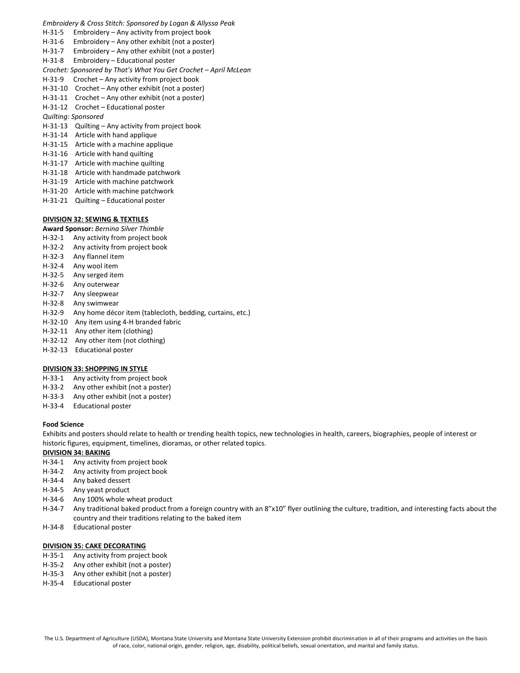*Embroidery & Cross Stitch: Sponsored by Logan & Allyssa Peak* H-31-5 Embroidery – Any activity from project book H-31-6 Embroidery – Any other exhibit (not a poster) H-31-7 Embroidery – Any other exhibit (not a poster) H-31-8 Embroidery – Educational poster *Crochet: Sponsored by That's What You Get Crochet – April McLean* H-31-9 Crochet – Any activity from project book H-31-10 Crochet – Any other exhibit (not a poster) H-31-11 Crochet – Any other exhibit (not a poster) H-31-12 Crochet – Educational poster *Quilting: Sponsored* H-31-13 Quilting – Any activity from project book H-31-14 Article with hand applique H-31-15 Article with a machine applique

- H-31-16 Article with hand quilting
- H-31-17 Article with machine quilting
- H-31-18 Article with handmade patchwork
- H-31-19 Article with machine patchwork
- H-31-20 Article with machine patchwork
- H-31-21 Quilting Educational poster

#### **DIVISION 32: SEWING & TEXTILES**

#### **Award Sponsor:** *Bernina Silver Thimble*

- H-32-1 Any activity from project book
- H-32-2 Any activity from project book
- H-32-3 Any flannel item
- H-32-4 Any wool item
- H-32-5 Any serged item
- H-32-6 Any outerwear H-32-7 Any sleepwear
- H-32-8 Any swimwear
- 
- H-32-9 Any home décor item (tablecloth, bedding, curtains, etc.)
- H-32-10 Any item using 4-H branded fabric
- H-32-11 Any other item (clothing)
- H-32-12 Any other item (not clothing)
- H-32-13 Educational poster

#### **DIVISION 33: SHOPPING IN STYLE**

- H-33-1 Any activity from project book
- H-33-2 Any other exhibit (not a poster)
- H-33-3 Any other exhibit (not a poster)
- H-33-4 Educational poster

#### **Food Science**

Exhibits and posters should relate to health or trending health topics, new technologies in health, careers, biographies, people of interest or historic figures, equipment, timelines, dioramas, or other related topics.

#### **DIVISION 34: BAKING**

- H-34-1 Any activity from project book
- H-34-2 Any activity from project book
- H-34-4 Any baked dessert
- H-34-5 Any yeast product
- H-34-6 Any 100% whole wheat product
- H-34-7 Any traditional baked product from a foreign country with an 8"x10" flyer outlining the culture, tradition, and interesting facts about the country and their traditions relating to the baked item
- H-34-8 Educational poster

#### **DIVISION 35: CAKE DECORATING**

- H-35-1 Any activity from project book
- H-35-2 Any other exhibit (not a poster)
- H-35-3 Any other exhibit (not a poster)
- H-35-4 Educational poster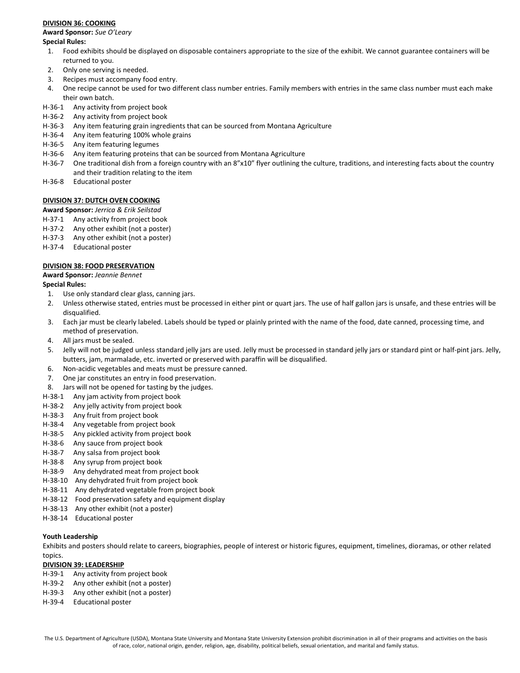#### **DIVISION 36: COOKING**

**Award Sponsor:** *Sue O'Leary*

#### **Special Rules:**

- 1. Food exhibits should be displayed on disposable containers appropriate to the size of the exhibit. We cannot guarantee containers will be returned to you.
- 2. Only one serving is needed.
- 3. Recipes must accompany food entry.
- 4. One recipe cannot be used for two different class number entries. Family members with entries in the same class number must each make their own batch.
- H-36-1 Any activity from project book
- H-36-2 Any activity from project book
- H-36-3 Any item featuring grain ingredients that can be sourced from Montana Agriculture
- H-36-4 Any item featuring 100% whole grains
- H-36-5 Any item featuring legumes
- H-36-6 Any item featuring proteins that can be sourced from Montana Agriculture
- H-36-7 One traditional dish from a foreign country with an 8"x10" flyer outlining the culture, traditions, and interesting facts about the country and their tradition relating to the item
- H-36-8 Educational poster

#### **DIVISION 37: DUTCH OVEN COOKING**

**Award Sponsor:** *Jerrica & Erik Seilstad*

- H-37-1 Any activity from project book
- H-37-2 Any other exhibit (not a poster)
- H-37-3 Any other exhibit (not a poster)
- H-37-4 Educational poster

#### **DIVISION 38: FOOD PRESERVATION**

**Award Sponsor:** *Jeannie Bennet*

#### **Special Rules:**

- 1. Use only standard clear glass, canning jars.
- 2. Unless otherwise stated, entries must be processed in either pint or quart jars. The use of half gallon jars is unsafe, and these entries will be disqualified.
- 3. Each jar must be clearly labeled. Labels should be typed or plainly printed with the name of the food, date canned, processing time, and method of preservation.
- 4. All jars must be sealed.
- 5. Jelly will not be judged unless standard jelly jars are used. Jelly must be processed in standard jelly jars or standard pint or half-pint jars. Jelly, butters, jam, marmalade, etc. inverted or preserved with paraffin will be disqualified.
- 6. Non-acidic vegetables and meats must be pressure canned.
- 7. One jar constitutes an entry in food preservation.
- 8. Jars will not be opened for tasting by the judges.
- H-38-1 Any jam activity from project book
- H-38-2 Any jelly activity from project book
- H-38-3 Any fruit from project book
- H-38-4 Any vegetable from project book
- H-38-5 Any pickled activity from project book
- H-38-6 Any sauce from project book
- H-38-7 Any salsa from project book
- H-38-8 Any syrup from project book
- H-38-9 Any dehydrated meat from project book
- H-38-10 Any dehydrated fruit from project book
- H-38-11 Any dehydrated vegetable from project book
- H-38-12 Food preservation safety and equipment display
- H-38-13 Any other exhibit (not a poster)
- H-38-14 Educational poster

#### **Youth Leadership**

Exhibits and posters should relate to careers, biographies, people of interest or historic figures, equipment, timelines, dioramas, or other related topics.

#### **DIVISION 39: LEADERSHIP**

- H-39-1 Any activity from project book
- H-39-2 Any other exhibit (not a poster)
- H-39-3 Any other exhibit (not a poster)
- H-39-4 Educational poster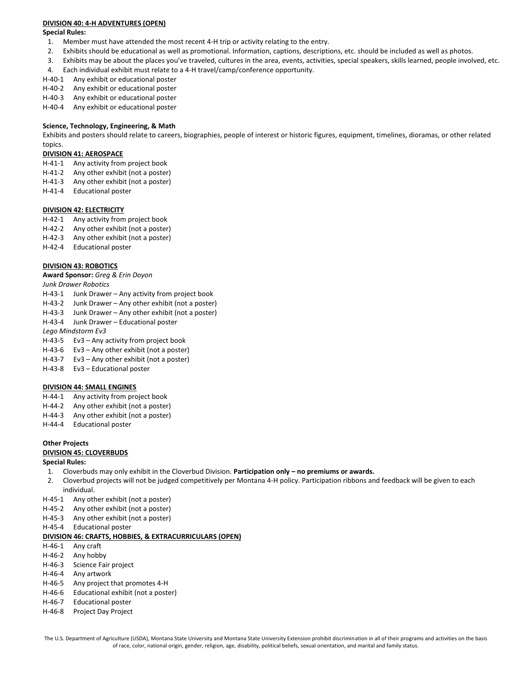#### **DIVISION 40: 4-H ADVENTURES (OPEN)**

#### **Special Rules:**

- 1. Member must have attended the most recent 4-H trip or activity relating to the entry.
- 2. Exhibits should be educational as well as promotional. Information, captions, descriptions, etc. should be included as well as photos.
- 3. Exhibits may be about the places you've traveled, cultures in the area, events, activities, special speakers, skills learned, people involved, etc.
- 4. Each individual exhibit must relate to a 4-H travel/camp/conference opportunity.
- H-40-1 Any exhibit or educational poster
- H-40-2 Any exhibit or educational poster
- H-40-3 Any exhibit or educational poster
- H-40-4 Any exhibit or educational poster

#### **Science, Technology, Engineering, & Math**

Exhibits and posters should relate to careers, biographies, people of interest or historic figures, equipment, timelines, dioramas, or other related topics.

#### **DIVISION 41: AEROSPACE**

- H-41-1 Any activity from project book
- H-41-2 Any other exhibit (not a poster)
- H-41-3 Any other exhibit (not a poster)
- H-41-4 Educational poster

#### **DIVISION 42: ELECTRICITY**

- H-42-1 Any activity from project book
- H-42-2 Any other exhibit (not a poster)
- H-42-3 Any other exhibit (not a poster)
- H-42-4 Educational poster

#### **DIVISION 43: ROBOTICS**

**Award Sponsor:** *Greg & Erin Doyon*

*Junk Drawer Robotics*

- H-43-1 Junk Drawer Any activity from project book
- H-43-2 Junk Drawer Any other exhibit (not a poster)
- H-43-3 Junk Drawer Any other exhibit (not a poster)
- H-43-4 Junk Drawer Educational poster

*Lego Mindstorm Ev3*

- H-43-5 Ev3 Any activity from project book
- H-43-6 Ev3 Any other exhibit (not a poster)
- H-43-7 Ev3 Any other exhibit (not a poster)
- H-43-8 Ev3 Educational poster

#### **DIVISION 44: SMALL ENGINES**

- H-44-1 Any activity from project book
- H-44-2 Any other exhibit (not a poster)
- H-44-3 Any other exhibit (not a poster)
- H-44-4 Educational poster

#### **Other Projects**

#### **DIVISION 45: CLOVERBUDS**

#### **Special Rules:**

- 1. Cloverbuds may only exhibit in the Cloverbud Division. **Participation only – no premiums or awards.**
- 2. Cloverbud projects will not be judged competitively per Montana 4-H policy. Participation ribbons and feedback will be given to each individual.
- H-45-1 Any other exhibit (not a poster)
- H-45-2 Any other exhibit (not a poster)
- H-45-3 Any other exhibit (not a poster)
- H-45-4 Educational poster

#### **DIVISION 46: CRAFTS, HOBBIES, & EXTRACURRICULARS (OPEN)**

- H-46-1 Any craft
- H-46-2 Any hobby
- H-46-3 Science Fair project
- H-46-4 Any artwork
- H-46-5 Any project that promotes 4-H
- H-46-6 Educational exhibit (not a poster)
- H-46-7 Educational poster
- H-46-8 Project Day Project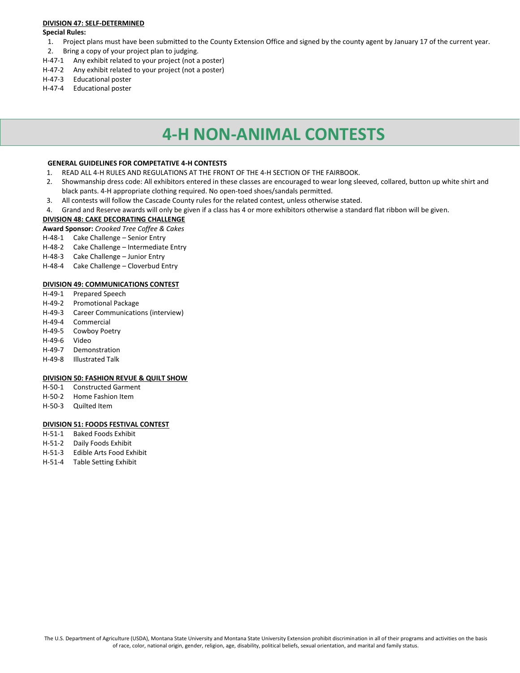#### **DIVISION 47: SELF-DETERMINED**

#### **Special Rules:**

- 1. Project plans must have been submitted to the County Extension Office and signed by the county agent by January 17 of the current year.
- 2. Bring a copy of your project plan to judging.
- H-47-1 Any exhibit related to your project (not a poster)
- H-47-2 Any exhibit related to your project (not a poster)

H-47-3 Educational poster

H-47-4 Educational poster

### **4-H NON-ANIMAL CONTESTS**

#### **GENERAL GUIDELINES FOR COMPETATIVE 4-H CONTESTS**

- 1. READ ALL 4-H RULES AND REGULATIONS AT THE FRONT OF THE 4-H SECTION OF THE FAIRBOOK.
- 2. Showmanship dress code: All exhibitors entered in these classes are encouraged to wear long sleeved, collared, button up white shirt and black pants. 4-H appropriate clothing required. No open-toed shoes/sandals permitted.
- 3. All contests will follow the Cascade County rules for the related contest, unless otherwise stated.
- 4. Grand and Reserve awards will only be given if a class has 4 or more exhibitors otherwise a standard flat ribbon will be given.

#### **DIVISION 48: CAKE DECORATING CHALLENGE**

**Award Sponsor:** *Crooked Tree Coffee & Cakes*

- H-48-1 Cake Challenge Senior Entry
- H-48-2 Cake Challenge Intermediate Entry
- H-48-3 Cake Challenge Junior Entry
- H-48-4 Cake Challenge Cloverbud Entry

#### **DIVISION 49: COMMUNICATIONS CONTEST**

- H-49-1 Prepared Speech
- H-49-2 Promotional Package
- H-49-3 Career Communications (interview)
- H-49-4 Commercial
- H-49-5 Cowboy Poetry
- H-49-6 Video
- H-49-7 Demonstration
- H-49-8 Illustrated Talk

#### **DIVISION 50: FASHION REVUE & QUILT SHOW**

- H-50-1 Constructed Garment
- H-50-2 Home Fashion Item
- H-50-3 Quilted Item

#### **DIVISION 51: FOODS FESTIVAL CONTEST**

- H-51-1 Baked Foods Exhibit
- H-51-2 Daily Foods Exhibit
- H-51-3 Edible Arts Food Exhibit
- H-51-4 Table Setting Exhibit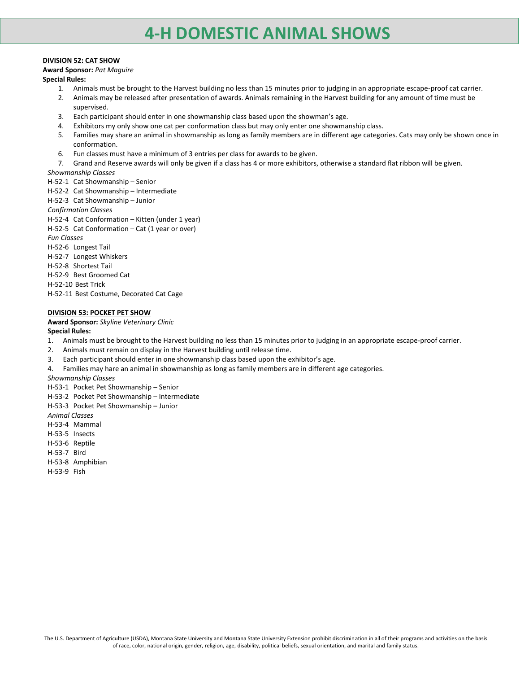#### **DIVISION 52: CAT SHOW**

#### **Award Sponsor:** *Pat Maguire*

**Special Rules:**

- 1. Animals must be brought to the Harvest building no less than 15 minutes prior to judging in an appropriate escape-proof cat carrier.
- 2. Animals may be released after presentation of awards. Animals remaining in the Harvest building for any amount of time must be supervised.
- 3. Each participant should enter in one showmanship class based upon the showman's age.
- 4. Exhibitors my only show one cat per conformation class but may only enter one showmanship class.
- 5. Families may share an animal in showmanship as long as family members are in different age categories. Cats may only be shown once in conformation.
- 6. Fun classes must have a minimum of 3 entries per class for awards to be given.
- 7. Grand and Reserve awards will only be given if a class has 4 or more exhibitors, otherwise a standard flat ribbon will be given.

*Showmanship Classes*

H-52-1 Cat Showmanship – Senior

- H-52-2 Cat Showmanship Intermediate
- H-52-3 Cat Showmanship Junior

*Confirmation Classes*

H-52-4 Cat Conformation – Kitten (under 1 year)

H-52-5 Cat Conformation – Cat (1 year or over)

*Fun Classes*

H-52-6 Longest Tail

H-52-7 Longest Whiskers

H-52-8 Shortest Tail

H-52-9 Best Groomed Cat

H-52-10 Best Trick

H-52-11 Best Costume, Decorated Cat Cage

#### **DIVISION 53: POCKET PET SHOW**

#### **Award Sponsor:** *Skyline Veterinary Clinic*

**Special Rules:** 

- 1. Animals must be brought to the Harvest building no less than 15 minutes prior to judging in an appropriate escape-proof carrier.
- 2. Animals must remain on display in the Harvest building until release time.
- 3. Each participant should enter in one showmanship class based upon the exhibitor's age.
- 4. Families may hare an animal in showmanship as long as family members are in different age categories.

*Showmanship Classes*

- H-53-1 Pocket Pet Showmanship Senior
- H-53-2 Pocket Pet Showmanship Intermediate
- H-53-3 Pocket Pet Showmanship Junior

*Animal Classes*

- H-53-4 Mammal
- H-53-5 Insects
- H-53-6 Reptile

H-53-7 Bird

- H-53-8 Amphibian
- H-53-9 Fish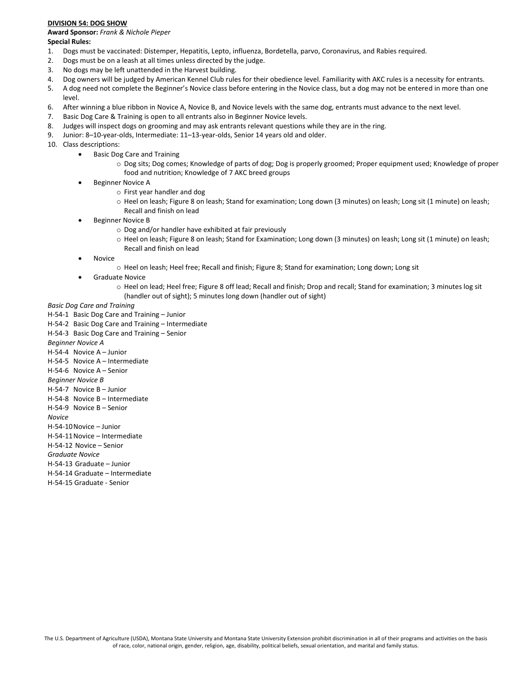#### **DIVISION 54: DOG SHOW**

#### **Award Sponsor:** *Frank & Nichole Pieper*

#### **Special Rules:**

- 1. Dogs must be vaccinated: Distemper, Hepatitis, Lepto, influenza, Bordetella, parvo, Coronavirus, and Rabies required.
- 2. Dogs must be on a leash at all times unless directed by the judge.
- 3. No dogs may be left unattended in the Harvest building.
- 4. Dog owners will be judged by American Kennel Club rules for their obedience level. Familiarity with AKC rules is a necessity for entrants.
- 5. A dog need not complete the Beginner's Novice class before entering in the Novice class, but a dog may not be entered in more than one level.
- 6. After winning a blue ribbon in Novice A, Novice B, and Novice levels with the same dog, entrants must advance to the next level.
- 7. Basic Dog Care & Training is open to all entrants also in Beginner Novice levels.
- 8. Judges will inspect dogs on grooming and may ask entrants relevant questions while they are in the ring.
- 9. Junior: 8–10-year-olds, Intermediate: 11–13-year-olds, Senior 14 years old and older.

10. Class descriptions:

- Basic Dog Care and Training
	- o Dog sits; Dog comes; Knowledge of parts of dog; Dog is properly groomed; Proper equipment used; Knowledge of proper food and nutrition; Knowledge of 7 AKC breed groups
- Beginner Novice A
	- o First year handler and dog
	- o Heel on leash; Figure 8 on leash; Stand for examination; Long down (3 minutes) on leash; Long sit (1 minute) on leash; Recall and finish on lead
- Beginner Novice B
	- o Dog and/or handler have exhibited at fair previously
	- o Heel on leash; Figure 8 on leash; Stand for Examination; Long down (3 minutes) on leash; Long sit (1 minute) on leash; Recall and finish on lead
- **Novice** 
	- o Heel on leash; Heel free; Recall and finish; Figure 8; Stand for examination; Long down; Long sit
- Graduate Novice
	- o Heel on lead; Heel free; Figure 8 off lead; Recall and finish; Drop and recall; Stand for examination; 3 minutes log sit (handler out of sight); 5 minutes long down (handler out of sight)

*Basic Dog Care and Training*

- H-54-1 Basic Dog Care and Training Junior
- H-54-2 Basic Dog Care and Training Intermediate

H-54-3 Basic Dog Care and Training – Senior

*Beginner Novice A*

- H-54-4 Novice A Junior
- H-54-5 Novice A Intermediate
- H-54-6 Novice A Senior
- *Beginner Novice B*
- H-54-7 Novice B Junior
- H-54-8 Novice B Intermediate
- H-54-9 Novice B Senior
- *Novice*
- H-54-10Novice Junior
- H-54-11Novice Intermediate
- H-54-12 Novice Senior
- *Graduate Novice*
- H-54-13 Graduate Junior
- H-54-14 Graduate Intermediate
- H-54-15 Graduate Senior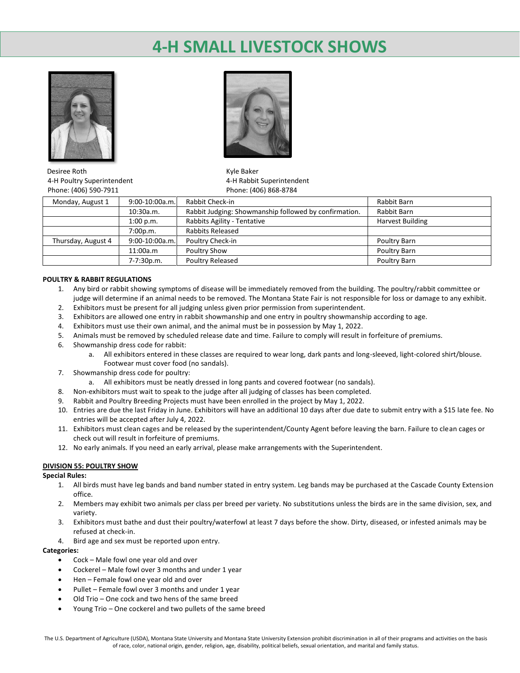### **4-H SMALL LIVESTOCK SHOWS**



Desiree Roth **Kyle Baker** Kyle Baker 4-H Poultry Superintendent 4-H Rabbit Superintendent Phone: (406) 590-7911 Phone: (406) 868-8784



| $9:00-10:00a.m.$<br>Monday, August 1 |                | Rabbit Check-in                                       | Rabbit Barn             |
|--------------------------------------|----------------|-------------------------------------------------------|-------------------------|
|                                      | 10:30a.m.      | Rabbit Judging: Showmanship followed by confirmation. | Rabbit Barn             |
|                                      | 1:00 p.m.      | Rabbits Agility - Tentative                           | <b>Harvest Building</b> |
|                                      | 7:00p.m.       | Rabbits Released                                      |                         |
| Thursday, August 4                   | 9:00-10:00a.m. | Poultry Check-in                                      | Poultry Barn            |
|                                      | 11:00a.m       | Poultry Show                                          | Poultry Barn            |
|                                      | 7-7:30p.m.     | <b>Poultry Released</b>                               | Poultry Barn            |

#### **POULTRY & RABBIT REGULATIONS**

- 1. Any bird or rabbit showing symptoms of disease will be immediately removed from the building. The poultry/rabbit committee or judge will determine if an animal needs to be removed. The Montana State Fair is not responsible for loss or damage to any exhibit.
- 2. Exhibitors must be present for all judging unless given prior permission from superintendent.
- 3. Exhibitors are allowed one entry in rabbit showmanship and one entry in poultry showmanship according to age.
- 4. Exhibitors must use their own animal, and the animal must be in possession by May 1, 2022.
- 5. Animals must be removed by scheduled release date and time. Failure to comply will result in forfeiture of premiums.
- 6. Showmanship dress code for rabbit:
	- a. All exhibitors entered in these classes are required to wear long, dark pants and long-sleeved, light-colored shirt/blouse. Footwear must cover food (no sandals).
- 7. Showmanship dress code for poultry:
	- a. All exhibitors must be neatly dressed in long pants and covered footwear (no sandals).
- 8. Non-exhibitors must wait to speak to the judge after all judging of classes has been completed.
- 9. Rabbit and Poultry Breeding Projects must have been enrolled in the project by May 1, 2022.
- 10. Entries are due the last Friday in June. Exhibitors will have an additional 10 days after due date to submit entry with a \$15 late fee. No entries will be accepted after July 4, 2022.
- 11. Exhibitors must clean cages and be released by the superintendent/County Agent before leaving the barn. Failure to clean cages or check out will result in forfeiture of premiums.
- 12. No early animals. If you need an early arrival, please make arrangements with the Superintendent.

#### **DIVISION 55: POULTRY SHOW**

#### **Special Rules:**

- 1. All birds must have leg bands and band number stated in entry system. Leg bands may be purchased at the Cascade County Extension office.
- 2. Members may exhibit two animals per class per breed per variety. No substitutions unless the birds are in the same division, sex, and variety.
- 3. Exhibitors must bathe and dust their poultry/waterfowl at least 7 days before the show. Dirty, diseased, or infested animals may be refused at check-in.
- 4. Bird age and sex must be reported upon entry.

#### **Categories:**

- Cock Male fowl one year old and over
- Cockerel Male fowl over 3 months and under 1 year
- Hen Female fowl one year old and over
- Pullet Female fowl over 3 months and under 1 year
- Old Trio One cock and two hens of the same breed
- Young Trio One cockerel and two pullets of the same breed